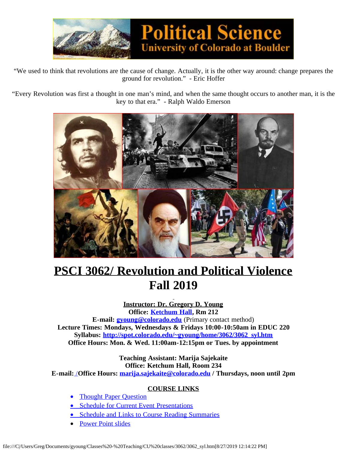

"We used to think that revolutions are the cause of change. Actually, it is the other way around: change prepares the ground for revolution." - Eric Hoffer

"Every Revolution was first a thought in one man's mind, and when the same thought occurs to another man, it is the key to that era." - Ralph Waldo Emerson



# **PSCI 3062/ Revolution and Political Violence Fall 2019**

**Instructor: Dr. Gregory D. Young Office: [Ketchum Hall](http://www.colorado.edu/Directories/WebMap), Rm 212 E-mail: [gyoung@colorado.edu](mailto:gyoung@colorado.edu)** (Primary contact method) **Lecture Times: Mondays, Wednesdays & Fridays 10:00-10:50am in EDUC 220 Syllabus: [http://spot.colorado.edu/~gyoung/home/3062/3062\\_syl.htm](http://spot.colorado.edu/~gyoung/home/3062/3062_syl.htm) Office Hours: Mon. & Wed. 11:00am-12:15pm or Tues. by appointment**

> **Teaching Assistant: Marija Sajekaite Office: Ketchum Hall, Room 234**

**E-mail:** /**Office Hours: [marija.sajekaite@colorado.edu](mailto:marija.sajekaite@colorado.edu) / Thursdays, noon until 2pm**

# **COURSE LINKS**

- [Thought Paper Question](file:///C|/Users/Greg/Documents/gyoung/Classes%20-%20Teaching/CU%20classes/3062/3062thtques.htm)
- [Schedule for Current Event Presentations](file:///C|/Users/Greg/Documents/gyoung/Classes%20-%20Teaching/CU%20classes/3062/3062CEsked.htm)
- [Schedule and Links to Course Reading Summaries](file:///C|/Users/Greg/Documents/gyoung/Classes%20-%20Teaching/CU%20classes/3062/3062RSsked.htm)
- [Power Point slides](file:///C|/Users/Greg/Documents/gyoung/Classes%20-%20Teaching/CU%20classes/3062/3062ppt.htm)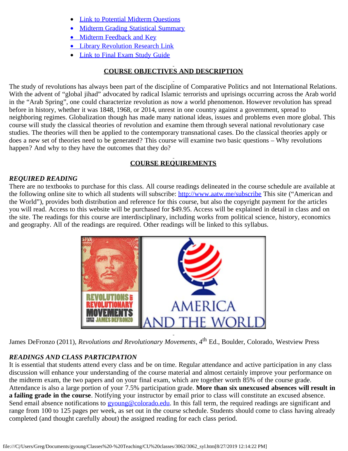- **[Link to Potential Midterm Questions](file:///C|/Users/Greg/Documents/gyoung/Classes%20-%20Teaching/CU%20classes/3062/3062midterms.htm)**
- [Midterm Grading Statistical Summary](file:///C|/Users/Greg/Documents/gyoung/Classes%20-%20Teaching/CU%20classes/3062/3062midscore.htm)
- [Midterm Feedback and Key](file:///C|/Users/Greg/Documents/gyoung/Classes%20-%20Teaching/CU%20classes/3062/midkeyF17.pptx)
- **[Library Revolution Research Link](http://libguides.colorado.edu/psci3062)**
- [Link to Final Exam Study Guide](file:///C|/Users/Greg/Documents/gyoung/Classes%20-%20Teaching/CU%20classes/3062/3062finterms.htm)

# **COURSE OBJECTIVES AND DESCRIPTION**

The study of revolutions has always been part of the discipline of Comparative Politics and not International Relations. With the advent of "global jihad" advocated by radical Islamic terrorists and uprisings occurring across the Arab world in the "Arab Spring", one could characterize revolution as now a world phenomenon. However revolution has spread before in history, whether it was 1848, 1968, or 2014, unrest in one country against a government, spread to neighboring regimes. Globalization though has made many national ideas, issues and problems even more global. This course will study the classical theories of revolution and examine them through several national revolutionary case studies. The theories will then be applied to the contemporary transnational cases. Do the classical theories apply or does a new set of theories need to be generated? This course will examine two basic questions – Why revolutions happen? And why to they have the outcomes that they do?

# **COURSE REQUIREMENTS**

## *REQUIRED READING*

There are no textbooks to purchase for this class. All course readings delineated in the course schedule are available at the following online site to which all students will subscribe: <http://www.aatw.me/subscribe>This site ("American and the World"), provides both distribution and reference for this course, but also the copyright payment for the articles you will read. Access to this website will be purchased for \$49.95. Access will be explained in detail in class and on the site. The readings for this course are interdisciplinary, including works from political science, history, economics and geography. All of the readings are required. Other readings will be linked to this syllabus.



James DeFronzo (2011), *Revolutions and Revolutionary Movements*, 4th Ed., Boulder, Colorado, Westview Press

# *READINGS AND CLASS PARTICIPATION*

It is essential that students attend every class and be on time. Regular attendance and active participation in any class discussion will enhance your understanding of the course material and almost certainly improve your performance on the midterm exam, the two papers and on your final exam, which are together worth 85% of the course grade. Attendance is also a large portion of your 7.5% participation grade. **More than six unexcused absences will result in a failing grade in the course**. Notifying your instructor by email prior to class will constitute an excused absence. Send email absence notifications to [gyoung@colorado.edu.](mailto:gyoung@colorado.edu) In this fall term, the required readings are significant and range from 100 to 125 pages per week, as set out in the course schedule. Students should come to class having already completed (and thought carefully about) the assigned reading for each class period.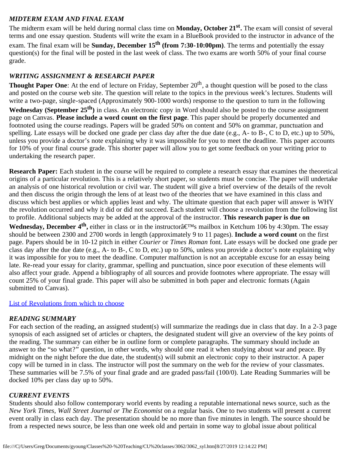# *MIDTERM EXAM AND FINAL EXAM*

The midterm exam will be held during normal class time on **Monday, October 21st.** The exam will consist of several terms and one essay question. Students will write the exam in a BlueBook provided to the instructor in advance of the exam. The final exam will be **Sunday, December 15th (from 7:30-10:00pm)**. The terms and potentially the essay question(s) for the final will be posted in the last week of class. The two exams are worth 50% of your final course grade.

# *WRITING ASSIGNMENT & RESEARCH PAPER*

**Thought Paper One**: At the end of lecture on Friday, September 20<sup>th</sup>, a thought question will be posed to the class and posted on the course web site. The question will relate to the topics in the previous week's lectures. Students will write a two-page, single-spaced (Approximately 900-1000 words) response to the question to turn in the following **Wednesday (September 25th)** in class. An electronic copy in Word should also be posted to the course assignment page on Canvas. **Please include a word count on the first page**. This paper should be properly documented and footnoted using the course readings. Papers will be graded 50% on content and 50% on grammar, punctuation and spelling. Late essays will be docked one grade per class day after the due date (e.g., A- to B-, C to D, etc.) up to  $50\%$ . unless you provide a doctor's note explaining why it was impossible for you to meet the deadline. This paper accounts for 10% of your final course grade. This shorter paper will allow you to get some feedback on your writing prior to undertaking the research paper.

**Research Paper:** Each student in the course will be required to complete a research essay that examines the theoretical origins of a particular revolution. This is a relatively short paper, so students must be concise. The paper will undertake an analysis of one historical revolution or civil war. The student will give a brief overview of the details of the revolt and then discuss the origin through the lens of at least two of the theories that we have examined in this class and discuss which best applies or which applies least and why. The ultimate question that each paper will answer is WHY the revolution occurred and why it did or did not succeed. Each student will choose a revolution from the following list to profile. Additional subjects may be added at the approval of the instructor. **This research paper is due on**

**Wednesday, December 4<sup>th</sup>,** either in class or in the instructorâ€<sup>M</sup>s mailbox in Ketchum 106 by 4:30pm. The essay should be between 2300 and 2700 words in length (approximately 9 to 11 pages). **Include a word count** on the first page. Papers should be in 10-12 pitch in either *Courier* or *Times Roman* font. Late essays will be docked one grade per class day after the due date (e.g., A- to B-, C to D, etc.) up to 50%, unless you provide a doctor's note explaining why it was impossible for you to meet the deadline. Computer malfunction is not an acceptable excuse for an essay being late. Re-read your essay for clarity, grammar, spelling and punctuation, since poor execution of these elements will also affect your grade. Append a bibliography of all sources and provide footnotes where appropriate. The essay will count 25% of your final grade. This paper will also be submitted in both paper and electronic formats (Again submitted to Canvas).

## [List of Revolutions from which to choose](file:///C|/Users/Greg/Documents/gyoung/Classes%20-%20Teaching/CU%20classes/3062/revolutions.htm)

## *READING SUMMARY*

For each section of the reading, an assigned student(s) will summarize the readings due in class that day. In a 2-3 page synopsis of each assigned set of articles or chapters, the designated student will give an overview of the key points of the reading. The summary can either be in outline form or complete paragraphs. The summary should include an answer to the "so what?" question, in other words, why should one read it when studying about war and peace. By midnight on the night before the due date, the student(s) will submit an electronic copy to their instructor. A paper copy will be turned in in class. The instructor will post the summary on the web for the review of your classmates. These summaries will be 7.5% of your final grade and are graded pass/fail (100/0). Late Reading Summaries will be docked 10% per class day up to 50%.

#### *CURRENT EVENTS*

Students should also follow contemporary world events by reading a reputable international news source, such as the *New York Times, Wall Street Journal or The Economist* on a regular basis. One to two students will present a current event orally in class each day. The presentation should be no more than five minutes in length. The source should be from a respected news source, be less than one week old and pertain in some way to global issue about political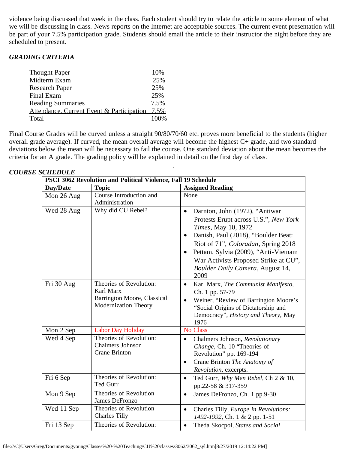violence being discussed that week in the class. Each student should try to relate the article to some element of what we will be discussing in class. News reports on the Internet are acceptable sources. The current event presentation will be part of your 7.5% participation grade. Students should email the article to their instructor the night before they are scheduled to present.

### *GRADING CRITERIA*

| 10%   |
|-------|
| 25%   |
| 25%   |
| 25%   |
| 7.5%  |
| 7.5%  |
| 100\% |
|       |

Final Course Grades will be curved unless a straight 90/80/70/60 etc. proves more beneficial to the students (higher overall grade average). If curved, the mean overall average will become the highest C+ grade, and two standard deviations below the mean will be necessary to fail the course. One standard deviation about the mean becomes the criteria for an A grade. The grading policy will be explained in detail on the first day of class.

| PSCI 3062 Revolution and Political Violence, Fall 19 Schedule |                                                                                             |                                                                                                                                                                                                                                                                                                                                     |
|---------------------------------------------------------------|---------------------------------------------------------------------------------------------|-------------------------------------------------------------------------------------------------------------------------------------------------------------------------------------------------------------------------------------------------------------------------------------------------------------------------------------|
| Day/Date                                                      | <b>Topic</b>                                                                                | <b>Assigned Reading</b>                                                                                                                                                                                                                                                                                                             |
| Mon 26 Aug                                                    | Course Introduction and<br>Administration                                                   | None                                                                                                                                                                                                                                                                                                                                |
| Wed 28 Aug                                                    | Why did CU Rebel?                                                                           | Darnton, John (1972), "Antiwar<br>$\bullet$<br>Protests Erupt across U.S.", New York<br>Times, May 10, 1972<br>Danish, Paul (2018), "Boulder Beat:<br>$\bullet$<br>Riot of 71", Coloradan, Spring 2018<br>Pettam, Sylvia (2009), "Anti-Vietnam<br>War Activists Proposed Strike at CU",<br>Boulder Daily Camera, August 14,<br>2009 |
| Fri 30 Aug                                                    | Theories of Revolution:<br>Karl Marx<br>Barrington Moore, Classical<br>Modernization Theory | Karl Marx, The Communist Manifesto,<br>$\bullet$<br>Ch. 1 pp. 57-79<br>Weiner, "Review of Barrington Moore's<br>"Social Origins of Dictatorship and<br>Democracy", History and Theory, May<br>1976                                                                                                                                  |
| Mon 2 Sep                                                     | <b>Labor Day Holiday</b>                                                                    | <b>No Class</b>                                                                                                                                                                                                                                                                                                                     |
| Wed 4 Sep                                                     | Theories of Revolution:<br><b>Chalmers Johnson</b><br><b>Crane Brinton</b>                  | Chalmers Johnson, Revolutionary<br>$\bullet$<br>Change, Ch. 10 "Theories of<br>Revolution" pp. 169-194<br>Crane Brinton The Anatomy of<br>$\bullet$<br>Revolution, excerpts.                                                                                                                                                        |
| Fri 6 Sep                                                     | Theories of Revolution:<br>Ted Gurr                                                         | Ted Gurr, Why Men Rebel, Ch 2 & 10,<br>$\bullet$<br>pp.22-58 & 317-359                                                                                                                                                                                                                                                              |
| Mon 9 Sep                                                     | Theories of Revolution<br><b>James DeFronzo</b>                                             | James DeFronzo, Ch. 1 pp.9-30<br>$\bullet$                                                                                                                                                                                                                                                                                          |
| Wed 11 Sep                                                    | Theories of Revolution<br><b>Charles Tilly</b>                                              | Charles Tilly, Europe in Revolutions:<br>$\bullet$<br>1492-1992, Ch. 1 & 2 pp. 1-51                                                                                                                                                                                                                                                 |
| Fri 13 Sep                                                    | Theories of Revolution:                                                                     | Theda Skocpol, States and Social<br>$\bullet$                                                                                                                                                                                                                                                                                       |

#### *COURSE SCHEDULE*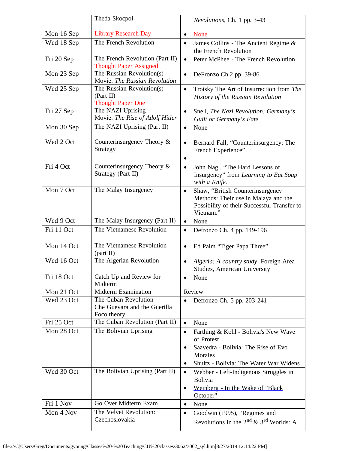|            | Theda Skocpol                                                       | Revolutions, Ch. 1 pp. 3-43                                                                                                                                 |
|------------|---------------------------------------------------------------------|-------------------------------------------------------------------------------------------------------------------------------------------------------------|
| Mon 16 Sep | <b>Library Research Day</b>                                         | None<br>$\bullet$                                                                                                                                           |
| Wed 18 Sep | The French Revolution                                               | James Collins - The Ancient Regime &<br>$\bullet$<br>the French Revolution                                                                                  |
| Fri 20 Sep | The French Revolution (Part II)<br><b>Thought Paper Assigned</b>    | Peter McPhee - The French Revolution<br>$\bullet$                                                                                                           |
| Mon 23 Sep | The Russian Revolution(s)<br>Movie: The Russian Revolution          | DeFronzo Ch.2 pp. 39-86<br>$\bullet$                                                                                                                        |
| Wed 25 Sep | The Russian Revolution(s)<br>(Part II)<br><b>Thought Paper Due</b>  | Trotsky The Art of Insurrection from The<br>$\bullet$<br>History of the Russian Revolution                                                                  |
| Fri 27 Sep | The NAZI Uprising<br>Movie: The Rise of Adolf Hitler                | Snell, The Nazi Revolution: Germany's<br>$\bullet$<br>Guilt or Germany's Fate                                                                               |
| Mon 30 Sep | The NAZI Uprising (Part II)                                         | None<br>$\bullet$                                                                                                                                           |
| Wed 2 Oct  | Counterinsurgency Theory &<br>Strategy                              | Bernard Fall, "Counterinsurgency: The<br>$\bullet$<br>French Experience"<br>٠                                                                               |
| Fri 4 Oct  | Counterinsurgency Theory &<br>Strategy (Part II)                    | John Nagl, "The Hard Lessons of<br>$\bullet$<br>Insurgency" from Learning to Eat Soup<br>with a Knife.                                                      |
| Mon 7 Oct  | The Malay Insurgency                                                | Shaw, "British Counterinsurgency<br>$\bullet$<br>Methods: Their use in Malaya and the<br>Possibility of their Successful Transfer to<br>Vietnam."           |
| Wed 9 Oct  | The Malay Insurgency (Part II)                                      | None<br>$\bullet$                                                                                                                                           |
| Fri 11 Oct | The Vietnamese Revolution                                           | Defronzo Ch. 4 pp. 149-196<br>$\bullet$                                                                                                                     |
| Mon 14 Oct | The Vietnamese Revolution<br>(part II)                              | Ed Palm "Tiger Papa Three"<br>$\bullet$                                                                                                                     |
| Wed 16 Oct | The Algerian Revolution                                             | Algeria: A country study. Foreign Area<br>$\bullet$<br><b>Studies, American University</b>                                                                  |
| Fri 18 Oct | Catch Up and Review for<br>Midterm                                  | None<br>$\bullet$                                                                                                                                           |
| Mon 21 Oct | <b>Midterm Examination</b>                                          | Review                                                                                                                                                      |
| Wed 23 Oct | The Cuban Revolution<br>Che Guevara and the Guerilla<br>Foco theory | Defronzo Ch. 5 pp. 203-241                                                                                                                                  |
| Fri 25 Oct | The Cuban Revolution (Part II)                                      | None<br>$\bullet$                                                                                                                                           |
| Mon 28 Oct | The Bolivian Uprising                                               | Farthing & Kohl - Bolivia's New Wave<br>$\bullet$<br>of Protest<br>Saavedra - Bolivia: The Rise of Evo<br>Morales<br>Shultz - Bolivia: The Water War Widens |
| Wed 30 Oct | The Bolivian Uprising (Part II)                                     | Webber - Left-Indigenous Struggles in<br>$\bullet$<br>Bolivia<br>Weinberg - In the Wake of "Black<br>٠<br>October"                                          |
| Fri 1 Nov  | Go Over Midterm Exam                                                | None<br>$\bullet$                                                                                                                                           |
| Mon 4 Nov  | The Velvet Revolution:<br>Czechoslovakia                            | Goodwin (1995), "Regimes and<br>$\bullet$<br>Revolutions in the $2^{nd}$ & $3^{rd}$ Worlds: A                                                               |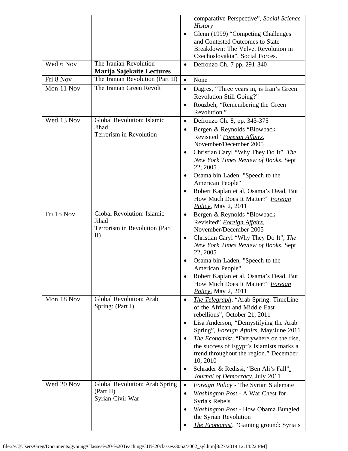|            |                                                                             | comparative Perspective", Social Science<br><b>History</b><br>Glenn (1999) "Competing Challenges<br>$\bullet$<br>and Contested Outcomes to State                                                                                                                                          |
|------------|-----------------------------------------------------------------------------|-------------------------------------------------------------------------------------------------------------------------------------------------------------------------------------------------------------------------------------------------------------------------------------------|
|            |                                                                             | Breakdown: The Velvet Revolution in<br>Czechoslovakia", Social Forces.                                                                                                                                                                                                                    |
| Wed 6 Nov  | The Iranian Revolution<br>Marija Sajekaite Lectures                         | Defronzo Ch. 7 pp. 291-340<br>$\bullet$                                                                                                                                                                                                                                                   |
| Fri 8 Nov  | The Iranian Revolution (Part II)                                            | None<br>$\bullet$                                                                                                                                                                                                                                                                         |
| Mon 11 Nov | The Iranian Green Revolt                                                    | Dagres, "Three years in, is Iran's Green<br>$\bullet$<br>Revolution Still Going?"<br>Rouzbeh, "Remembering the Green<br>$\bullet$                                                                                                                                                         |
|            |                                                                             | Revolution."                                                                                                                                                                                                                                                                              |
| Wed 13 Nov | Global Revolution: Islamic<br>Jihad<br>Terrorism in Revolution              | Defronzo Ch. 8, pp. 343-375<br>$\bullet$<br>Bergen & Reynolds "Blowback<br>$\bullet$<br>Revisited" Foreign Affairs,<br>November/December 2005                                                                                                                                             |
|            |                                                                             | Christian Caryl "Why They Do It", The<br>$\bullet$<br>New York Times Review of Books, Sept<br>22, 2005<br>Osama bin Laden, "Speech to the<br>$\bullet$                                                                                                                                    |
|            |                                                                             | American People"<br>Robert Kaplan et al, Osama's Dead, But<br>$\bullet$<br>How Much Does It Matter?" Foreign<br><i>Policy</i> , May 2, 2011                                                                                                                                               |
| Fri 15 Nov | Global Revolution: Islamic<br>Jihad<br>Terrorism in Revolution (Part<br>II) | Bergen & Reynolds "Blowback<br>$\bullet$<br>Revisited" Foreign Affairs,<br>November/December 2005<br>Christian Caryl "Why They Do It", The<br>$\bullet$<br>New York Times Review of Books, Sept<br>22, 2005<br>Osama bin Laden, "Speech to the<br>American People"                        |
|            |                                                                             | Robert Kaplan et al, Osama's Dead, But<br>How Much Does It Matter?" Foreign<br>Policy, May 2, 2011                                                                                                                                                                                        |
| Mon 18 Nov | <b>Global Revolution: Arab</b><br>Spring: (Part I)                          | The Telegraph, "Arab Spring: TimeLine<br>$\bullet$<br>of the African and Middle East<br>rebellions", October 21, 2011<br>Lisa Anderson, "Demystifying the Arab<br>$\bullet$                                                                                                               |
|            |                                                                             | Spring", <i>Foreign Affairs</i> , May/June 2011<br><i>The Economist</i> , "Everywhere on the rise,<br>$\bullet$<br>the success of Egypt's Islamists marks a<br>trend throughout the region." December<br>10, 2010<br>Schrader & Redissi, "Ben Ali's Fall".<br>$\bullet$                   |
| Wed 20 Nov | Global Revolution: Arab Spring<br>(Part II)<br>Syrian Civil War             | Journal of Democracy, July 2011<br>Foreign Policy - The Syrian Stalemate<br>$\bullet$<br>Washington Post - A War Chest for<br>$\bullet$<br>Syria's Rebels<br>Washington Post - How Obama Bungled<br>$\bullet$<br>the Syrian Revolution<br><i>The Economist</i> , "Gaining ground: Syria's |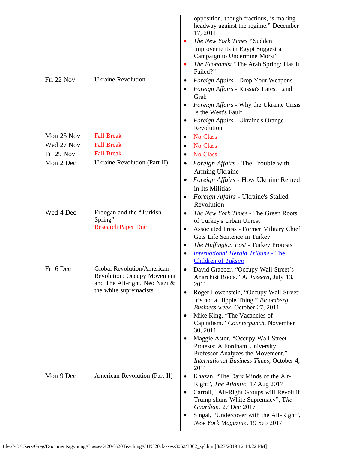|            |                                                                                                                             | opposition, though fractious, is making<br>headway against the regime." December<br>17, 2011<br>The New York Times "Sudden<br>Improvements in Egypt Suggest a<br>Campaign to Undermine Morsi"<br>The Economist "The Arab Spring: Has It<br>$\bullet$<br>Failed?"                                                                                                                                                                                                           |
|------------|-----------------------------------------------------------------------------------------------------------------------------|----------------------------------------------------------------------------------------------------------------------------------------------------------------------------------------------------------------------------------------------------------------------------------------------------------------------------------------------------------------------------------------------------------------------------------------------------------------------------|
| Fri 22 Nov | <b>Ukraine Revolution</b>                                                                                                   | Foreign Affairs - Drop Your Weapons<br>$\bullet$<br>Foreign Affairs - Russia's Latest Land<br>Grab<br>Foreign Affairs - Why the Ukraine Crisis<br>Is the West's Fault<br>Foreign Affairs - Ukraine's Orange                                                                                                                                                                                                                                                                |
| Mon 25 Nov | <b>Fall Break</b>                                                                                                           | Revolution<br>No Class<br>$\bullet$                                                                                                                                                                                                                                                                                                                                                                                                                                        |
| Wed 27 Nov | <b>Fall Break</b>                                                                                                           | No Class<br>$\bullet$                                                                                                                                                                                                                                                                                                                                                                                                                                                      |
| Fri 29 Nov | <b>Fall Break</b>                                                                                                           | <b>No Class</b><br>$\bullet$                                                                                                                                                                                                                                                                                                                                                                                                                                               |
| Mon 2 Dec  | Ukraine Revolution (Part II)                                                                                                | Foreign Affairs - The Trouble with<br>$\bullet$<br>Arming Ukraine<br>Foreign Affairs - How Ukraine Reined<br>$\bullet$<br>in Its Militias<br>Foreign Affairs - Ukraine's Stalled<br>Revolution                                                                                                                                                                                                                                                                             |
| Wed 4 Dec  | Erdogan and the "Turkish<br>Spring"<br><b>Research Paper Due</b>                                                            | The New York Times - The Green Roots<br>$\bullet$<br>of Turkey's Urban Unrest<br><b>Associated Press - Former Military Chief</b><br>$\bullet$<br>Gets Life Sentence in Turkey<br>The Huffington Post - Turkey Protests<br>$\bullet$<br><b>International Herald Tribune - The</b><br><b>Children of Taksim</b>                                                                                                                                                              |
| Fri 6 Dec  | Global Revolution/American<br><b>Revolution: Occupy Movement</b><br>and The Alt-right, Neo Nazi &<br>the white supremacists | David Graeber, "Occupy Wall Street's<br>Anarchist Roots." Al Jazeera, July 13,<br>2011<br>Roger Lowenstein, "Occupy Wall Street:<br>$\bullet$<br>It's not a Hippie Thing." Bloomberg<br>Business week, October 27, 2011<br>Mike King, "The Vacancies of<br>Capitalism." Counterpunch, November<br>30, 2011<br>Maggie Astor, "Occupy Wall Street<br>Protests: A Fordham University<br>Professor Analyzes the Movement."<br>International Business Times, October 4,<br>2011 |
| Mon 9 Dec  | American Revolution (Part II)                                                                                               | Khazan, "The Dark Minds of the Alt-<br>$\bullet$<br>Right", The Atlantic, 17 Aug 2017<br>Carroll, "Alt-Right Groups will Revolt if<br>$\bullet$<br>Trump shuns White Supremacy", The<br>Guardian, 27 Dec 2017<br>Singal, "Undercover with the Alt-Right",<br>New York Magazine, 19 Sep 2017                                                                                                                                                                                |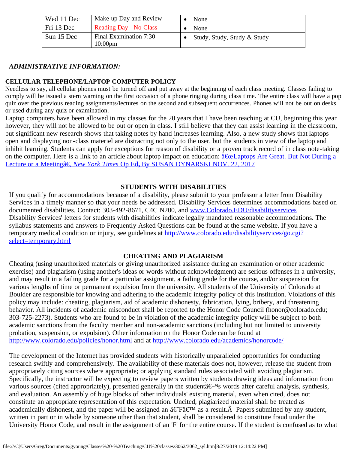| Wed 11 Dec | Make up Day and Review                | None                        |
|------------|---------------------------------------|-----------------------------|
| Fri 13 Dec | <b>Reading Day - No Class</b>         | None                        |
| Sun 15 Dec | Final Examination 7:30-<br>$10:00$ pm | Study, Study, Study & Study |

## *ADMINISTRATIVE INFORMATION:*

### **CELLULAR TELEPHONE/LAPTOP COMPUTER POLICY**

Needless to say, all cellular phones must be turned off and put away at the beginning of each class meeting. Classes failing to comply will be issued a stern warning on the first occasion of a phone ringing during class time. The entire class will have a pop quiz over the previous reading assignments/lectures on the second and subsequent occurrences. Phones will not be out on desks or used during any quiz or examination.

Laptop computers have been allowed in my classes for the 20 years that I have been teaching at CU, beginning this year however, they will not be allowed to be out or open in class. I still believe that they can assist learning in the classroom, but significant new research shows that taking notes by hand increases learning. Also, a new study shows that laptops open and displaying non-class materiel are distracting not only to the user, but the students in view of the laptop and inhibit learning. Students can apply for exceptions for reason of disability or a proven track record of in class note-taking on the computer. Here is a link to an article about laptop impact on education:  $\frac{\hat{a} \cdot \hat{c} \cdot c}{\hat{a} \cdot c}$  Laptops Are Great. But Not During a [Lecture or a Meetingâ€,](file:///C|/Users/Greg/Documents/gyoung/Classes%20-%20Teaching/CU%20classes/3062/dynarskioped.htm) *[New York Times](file:///C|/Users/Greg/Documents/gyoung/Classes%20-%20Teaching/CU%20classes/3062/dynarskioped.htm)* [Op Ed](file:///C|/Users/Greg/Documents/gyoung/Classes%20-%20Teaching/CU%20classes/3062/dynarskioped.htm)**[,](file:///C|/Users/Greg/Documents/gyoung/Classes%20-%20Teaching/CU%20classes/3062/dynarskioped.htm)** [By SUSAN DYNARSKI NOV. 22, 2017](file:///C|/Users/Greg/Documents/gyoung/Classes%20-%20Teaching/CU%20classes/3062/dynarskioped.htm)

#### **STUDENTS WITH DISABILITIES**

If you qualify for accommodations because of a disability, please submit to your professor a letter from Disability Services in a timely manner so that your needs be addressed. Disability Services determines accommodations based on documented disabilities. Contact: 303-492-8671, C4C N200, and [www.Colorado.EDU/disabilityservices](http://www.colorado.edu/disabilityservices) Disability Services' letters for students with disabilities indicate legally mandated reasonable accommodations. The syllabus statements and answers to Frequently Asked Questions can be found at the same website. If you have a temporary medical condition or injury, see guidelines at [http://www.colorado.edu/disabilityservices/go.cgi?](http://www.colorado.edu/disabilityservices/go.cgi?select=temporary.html) [select=temporary.html](http://www.colorado.edu/disabilityservices/go.cgi?select=temporary.html)

#### **CHEATING AND PLAGIARISM**

Cheating (using unauthorized materials or giving unauthorized assistance during an examination or other academic exercise) and plagiarism (using another's ideas or words without acknowledgment) are serious offenses in a university, and may result in a failing grade for a particular assignment, a failing grade for the course, and/or suspension for various lengths of time or permanent expulsion from the university. All students of the University of Colorado at Boulder are responsible for knowing and adhering to the academic integrity policy of this institution. Violations of this policy may include: cheating, plagiarism, aid of academic dishonesty, fabrication, lying, bribery, and threatening behavior. All incidents of academic misconduct shall be reported to the Honor Code Council (honor@colorado.edu; 303-725-2273). Students who are found to be in violation of the academic integrity policy will be subject to both academic sanctions from the faculty member and non-academic sanctions (including but not limited to university probation, suspension, or expulsion). Other information on the Honor Code can be found at [http://www.colorado.edu/policies/honor.html](https://culink.colorado.edu/wm/mail/fetch.html?urlid=g0a9ec54cc73e3531669be70a951dc2efdj9p5nljhl&url=http%3A%2F%2Fwww.colorado.edu%2Fpolicies%2Fhonor.html) and at [http://www.colorado.edu/academics/honorcode/](https://culink.colorado.edu/wm/mail/fetch.html?urlid=g0a9ec54cc73e3531669be70a951dc2efdj9p5nljhl&url=http%3A%2F%2Fwww.colorado.edu%2Facademics%2Fhonorcode%2F)

The development of the Internet has provided students with historically unparalleled opportunities for conducting research swiftly and comprehensively. The availability of these materials does not, however, release the student from appropriately citing sources where appropriate; or applying standard rules associated with avoiding plagiarism. Specifically, the instructor will be expecting to review papers written by students drawing ideas and information from various sources (cited appropriately), presented generally in the student  $\hat{\mathbf{z}} \in \mathbb{R}^M$ s words after careful analysis, synthesis, and evaluation. An assembly of huge blocks of other individuals' existing material, even when cited, does not constitute an appropriate representation of this expectation. Uncited, plagiarized material shall be treated as academically dishonest, and the paper will be assigned an  $\hat{a} \in F \hat{a} \in \mathbb{R}^M$  as a result.  $\hat{A}$  Papers submitted by any student, written in part or in whole by someone other than that student, shall be considered to constitute fraud under the University Honor Code, and result in the assignment of an 'F' for the entire course. If the student is confused as to what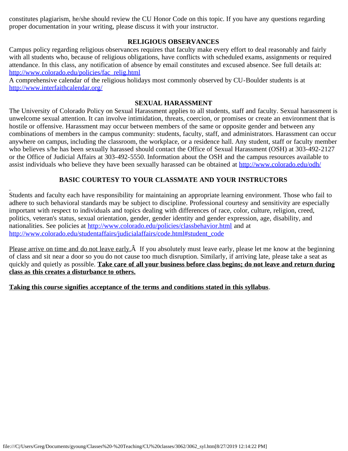constitutes plagiarism, he/she should review the CU Honor Code on this topic. If you have any questions regarding proper documentation in your writing, please discuss it with your instructor.

#### **RELIGIOUS OBSERVANCES**

Campus policy regarding religious observances requires that faculty make every effort to deal reasonably and fairly with all students who, because of religious obligations, have conflicts with scheduled exams, assignments or required attendance. In this class, any notification of absence by email constitutes and excused absence. See full details at: [http://www.colorado.edu/policies/fac\\_relig.html](https://culink.colorado.edu/wm/mail/fetch.html?urlid=g0a9ec54cc73e3531669be70a951dc2efdj9p5nljhl&url=http%3A%2F%2Fwww.colorado.edu%2Fpolicies%2Ffac_relig.html)

A comprehensive calendar of the religious holidays most commonly observed by CU-Boulder students is at [http://www.interfaithcalendar.org/](https://culink.colorado.edu/wm/mail/fetch.html?urlid=g0a9ec54cc73e3531669be70a951dc2efdj9p5nljhl&url=http%3A%2F%2Fwww.interfaithcalendar.org%2F)

## **SEXUAL HARASSMENT**

The University of Colorado Policy on Sexual Harassment applies to all students, staff and faculty. Sexual harassment is unwelcome sexual attention. It can involve intimidation, threats, coercion, or promises or create an environment that is hostile or offensive. Harassment may occur between members of the same or opposite gender and between any combinations of members in the campus community: students, faculty, staff, and administrators. Harassment can occur anywhere on campus, including the classroom, the workplace, or a residence hall. Any student, staff or faculty member who believes s/he has been sexually harassed should contact the Office of Sexual Harassment (OSH) at 303-492-2127 or the Office of Judicial Affairs at 303-492-5550. Information about the OSH and the campus resources available to assist individuals who believe they have been sexually harassed can be obtained at <http://www.colorado.edu/odh/>

# **BASIC COURTESY TO YOUR CLASSMATE AND YOUR INSTRUCTORS**

Students and faculty each have responsibility for maintaining an appropriate learning environment. Those who fail to adhere to such behavioral standards may be subject to discipline. Professional courtesy and sensitivity are especially important with respect to individuals and topics dealing with differences of race, color, culture, religion, creed, politics, veteran's status, sexual orientation, gender, gender identity and gender expression, age, disability, and nationalities. See policies at [http://www.colorado.edu/policies/classbehavior.html](https://exchangeweb.colorado.edu/OWA/redir.aspx?C=572f6b536c59490f9e149b4a4deade0e&URL=http%3a%2f%2fwww.colorado.edu%2fpolicies%2fclassbehavior.html) and at [http://www.colorado.edu/studentaffairs/judicialaffairs/code.html#student\\_code](https://exchangeweb.colorado.edu/OWA/redir.aspx?C=572f6b536c59490f9e149b4a4deade0e&URL=http%3a%2f%2fwww.colorado.edu%2fstudentaffairs%2fjudicialaffairs%2fcode.html%23student_code)

Please arrive on time and do not leave early. $\hat{A}$  If you absolutely must leave early, please let me know at the beginning of class and sit near a door so you do not cause too much disruption. Similarly, if arriving late, please take a seat as quickly and quietly as possible. **Take care of all your business before class begins; do not leave and return during class as this creates a disturbance to others.**

**Taking this course signifies acceptance of the terms and conditions stated in this syllabus**.